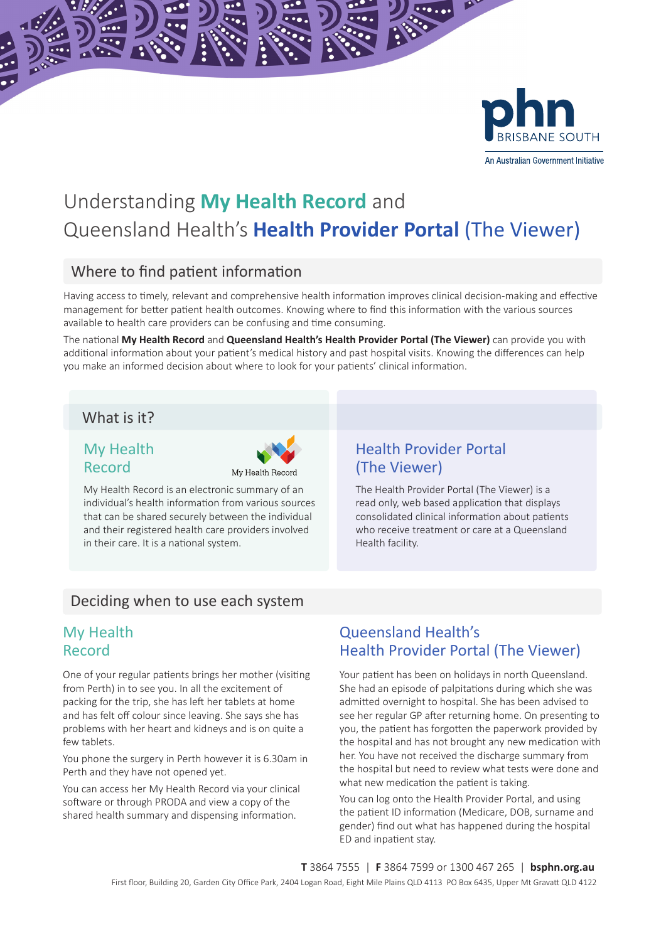

An Australian Government Initiative

## Understanding **My Health Record** and Queensland Health's **Health Provider Portal** (The Viewer)

## Where to find patient information

Having access to timely, relevant and comprehensive health information improves clinical decision-making and effective management for better patient health outcomes. Knowing where to find this information with the various sources available to health care providers can be confusing and time consuming.

The national **My Health Record** and **Queensland Health's Health Provider Portal (The Viewer)** can provide you with additional information about your patient's medical history and past hospital visits. Knowing the differences can help you make an informed decision about where to look for your patients' clinical information.

### What is it?

### My Health Record



My Health Record

My Health Record is an electronic summary of an individual's health information from various sources that can be shared securely between the individual and their registered health care providers involved in their care. It is a national system.

### Health Provider Portal (The Viewer)

The Health Provider Portal (The Viewer) is a read only, web based application that displays consolidated clinical information about patients who receive treatment or care at a Queensland Health facility.

### Deciding when to use each system

### My Health Record

One of your regular patients brings her mother (visiting from Perth) in to see you. In all the excitement of packing for the trip, she has left her tablets at home and has felt off colour since leaving. She says she has problems with her heart and kidneys and is on quite a few tablets.

You phone the surgery in Perth however it is 6.30am in Perth and they have not opened yet.

You can access her My Health Record via your clinical software or through PRODA and view a copy of the shared health summary and dispensing information.

## Queensland Health's Health Provider Portal (The Viewer)

Your patient has been on holidays in north Queensland. She had an episode of palpitations during which she was admitted overnight to hospital. She has been advised to see her regular GP after returning home. On presenting to you, the patient has forgotten the paperwork provided by the hospital and has not brought any new medication with her. You have not received the discharge summary from the hospital but need to review what tests were done and what new medication the patient is taking.

You can log onto the Health Provider Portal, and using the patient ID information (Medicare, DOB, surname and gender) find out what has happened during the hospital ED and inpatient stay.